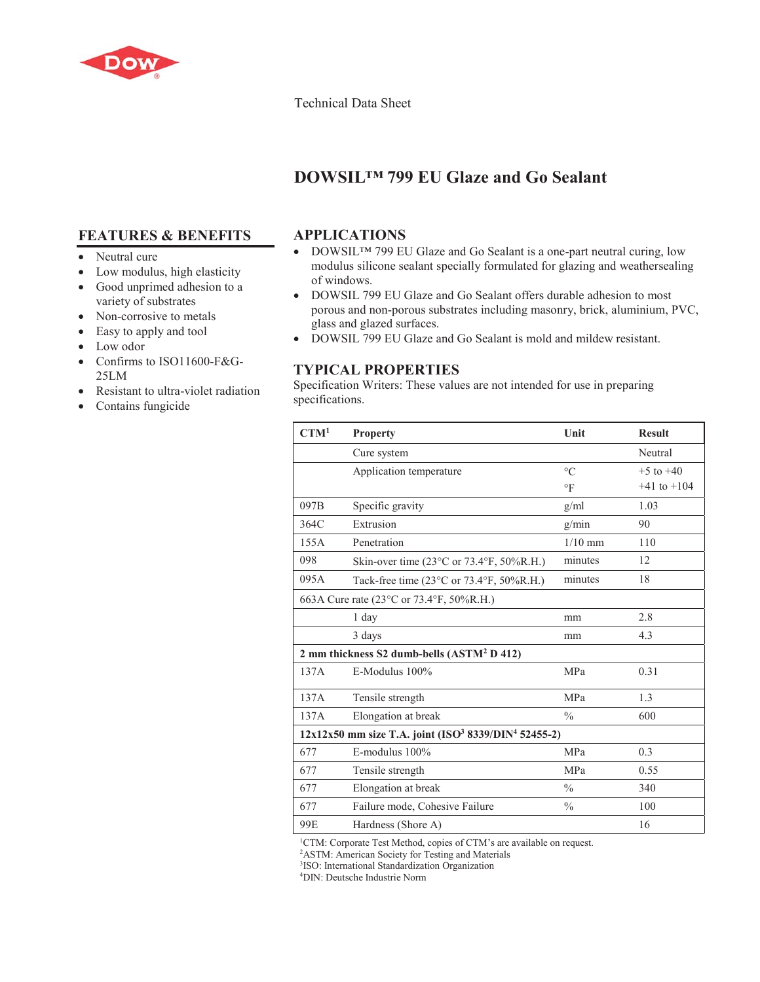

#### Technical Data Sheet

# **DOWSIL™ 799 EU Glaze and Go Sealant**

# **FEATURES & BENEFITS**

- Neutral cure
- Low modulus, high elasticity
- Good unprimed adhesion to a variety of substrates
- $\bullet$  Non-corrosive to metals
- Easy to apply and tool
- Low odor
- Confirms to ISO11600-F&G-25LM
- Resistant to ultra-violet radiation
- Contains fungicide

### **APPLICATIONS**

- DOWSIL™ 799 EU Glaze and Go Sealant is a one-part neutral curing, low modulus silicone sealant specially formulated for glazing and weathersealing of windows.
- DOWSIL 799 EU Glaze and Go Sealant offers durable adhesion to most porous and non-porous substrates including masonry, brick, aluminium, PVC, glass and glazed surfaces.
- DOWSIL 799 EU Glaze and Go Sealant is mold and mildew resistant.

### **TYPICAL PROPERTIES**

Specification Writers: These values are not intended for use in preparing specifications.

| CTM <sup>1</sup>                                                             | <b>Property</b>                                                  | Unit          | <b>Result</b>   |
|------------------------------------------------------------------------------|------------------------------------------------------------------|---------------|-----------------|
|                                                                              | Cure system                                                      |               | Neutral         |
|                                                                              | Application temperature                                          | $\circ$ C     | $+5$ to $+40$   |
|                                                                              |                                                                  | $\circ$ F     | $+41$ to $+104$ |
| 097B                                                                         | Specific gravity                                                 | g/ml          | 1.03            |
| 364C                                                                         | Extrusion                                                        | g/min         | 90              |
| 155A                                                                         | Penetration                                                      | $1/10$ mm     | 110             |
| 098                                                                          | Skin-over time $(23^{\circ}$ C or $73.4^{\circ}$ F, $50\%$ R.H.) | minutes       | 12              |
| 095A                                                                         | Tack-free time $(23^{\circ}$ C or $73.4^{\circ}$ F, $50\%$ R.H.) | minutes       | 18              |
| 663A Cure rate (23 °C or 73.4 °F, 50%R.H.)                                   |                                                                  |               |                 |
|                                                                              | 1 day                                                            | mm            | 2.8             |
|                                                                              | 3 days                                                           | mm            | 4.3             |
| 2 mm thickness S2 dumb-bells (ASTM <sup>2</sup> D 412)                       |                                                                  |               |                 |
| 137A                                                                         | E-Modulus 100%                                                   | MPa           | 0.31            |
| 137A                                                                         | Tensile strength                                                 | MPa           | 1.3             |
| 137A                                                                         | Elongation at break                                              | $\frac{0}{0}$ | 600             |
| 12x12x50 mm size T.A. joint (ISO <sup>3</sup> 8339/DIN <sup>4</sup> 52455-2) |                                                                  |               |                 |
| 677                                                                          | E-modulus 100%                                                   | MPa           | 0.3             |
| 677                                                                          | Tensile strength                                                 | MPa           | 0.55            |
| 677                                                                          | Elongation at break                                              | $\frac{0}{0}$ | 340             |
| 677                                                                          | Failure mode, Cohesive Failure                                   | $\frac{0}{0}$ | 100             |
| 99E                                                                          | Hardness (Shore A)                                               |               | 16              |

<sup>1</sup>CTM: Corporate Test Method, copies of CTM's are available on request.

<sup>2</sup>ASTM: American Society for Testing and Materials

3 ISO: International Standardization Organization

4 DIN: Deutsche Industrie Norm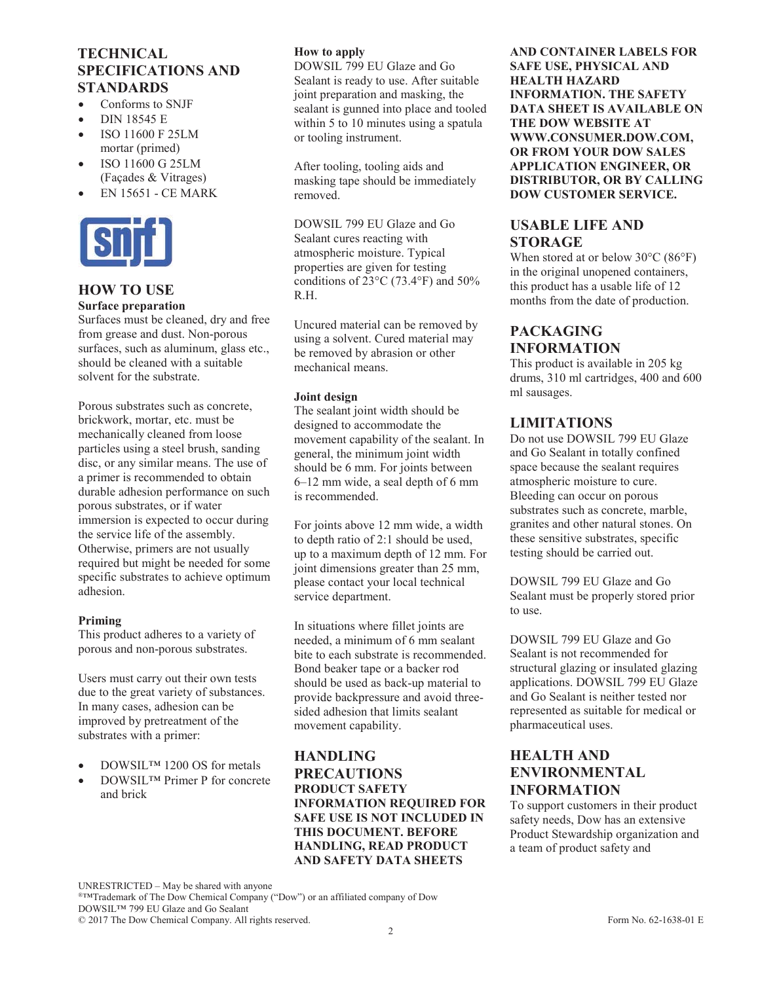# **TECHNICAL SPECIFICATIONS AND STANDARDS**

- Conforms to SNJF
- DIN 18545 E
- x ISO 11600 F 25LM mortar (primed)
- x ISO 11600 G 25LM (Façades & Vitrages)
- x EN 15651 CE MARK



### **HOW TO USE**

#### **Surface preparation**

Surfaces must be cleaned, dry and free from grease and dust. Non-porous surfaces, such as aluminum, glass etc., should be cleaned with a suitable solvent for the substrate.

Porous substrates such as concrete, brickwork, mortar, etc. must be mechanically cleaned from loose particles using a steel brush, sanding disc, or any similar means. The use of a primer is recommended to obtain durable adhesion performance on such porous substrates, or if water immersion is expected to occur during the service life of the assembly. Otherwise, primers are not usually required but might be needed for some specific substrates to achieve optimum adhesion.

#### **Priming**

This product adheres to a variety of porous and non-porous substrates.

Users must carry out their own tests due to the great variety of substances. In many cases, adhesion can be improved by pretreatment of the substrates with a primer:

- DOWSIL™ 1200 OS for metals
- DOWSIL™ Primer P for concrete and brick

#### **How to apply**

DOWSIL 799 EU Glaze and Go Sealant is ready to use. After suitable joint preparation and masking, the sealant is gunned into place and tooled within 5 to 10 minutes using a spatula or tooling instrument.

After tooling, tooling aids and masking tape should be immediately removed.

DOWSIL 799 EU Glaze and Go Sealant cures reacting with atmospheric moisture. Typical properties are given for testing conditions of  $23^{\circ}$ C (73.4 $^{\circ}$ F) and 50% R.H.

Uncured material can be removed by using a solvent. Cured material may be removed by abrasion or other mechanical means.

#### **Joint design**

The sealant joint width should be designed to accommodate the movement capability of the sealant. In general, the minimum joint width should be 6 mm. For joints between 6–12 mm wide, a seal depth of 6 mm is recommended.

For joints above 12 mm wide, a width to depth ratio of 2:1 should be used, up to a maximum depth of 12 mm. For joint dimensions greater than 25 mm, please contact your local technical service department.

In situations where fillet joints are needed, a minimum of 6 mm sealant bite to each substrate is recommended. Bond beaker tape or a backer rod should be used as back-up material to provide backpressure and avoid threesided adhesion that limits sealant movement capability.

#### **HANDLING PRECAUTIONS PRODUCT SAFETY INFORMATION REQUIRED FOR SAFE USE IS NOT INCLUDED IN THIS DOCUMENT. BEFORE HANDLING, READ PRODUCT AND SAFETY DATA SHEETS**

**AND CONTAINER LABELS FOR SAFE USE, PHYSICAL AND HEALTH HAZARD INFORMATION. THE SAFETY DATA SHEET IS AVAILABLE ON THE DOW WEBSITE AT WWW.CONSUMER.DOW.COM, OR FROM YOUR DOW SALES APPLICATION ENGINEER, OR DISTRIBUTOR, OR BY CALLING DOW CUSTOMER SERVICE.**

### **USABLE LIFE AND STORAGE**

When stored at or below 30°C (86°F) in the original unopened containers, this product has a usable life of 12 months from the date of production.

# **PACKAGING INFORMATION**

This product is available in 205 kg drums, 310 ml cartridges, 400 and 600 ml sausages.

### **LIMITATIONS**

Do not use DOWSIL 799 EU Glaze and Go Sealant in totally confined space because the sealant requires atmospheric moisture to cure. Bleeding can occur on porous substrates such as concrete, marble, granites and other natural stones. On these sensitive substrates, specific testing should be carried out.

DOWSIL 799 EU Glaze and Go Sealant must be properly stored prior to use.

DOWSIL 799 EU Glaze and Go Sealant is not recommended for structural glazing or insulated glazing applications. DOWSIL 799 EU Glaze and Go Sealant is neither tested nor represented as suitable for medical or pharmaceutical uses.

## **HEALTH AND ENVIRONMENTAL INFORMATION**

To support customers in their product safety needs, Dow has an extensive Product Stewardship organization and a team of product safety and

UNRESTRICTED – May be shared with anyone ®™Trademark of The Dow Chemical Company ("Dow") or an affiliated company of Dow DOWSIL™ 799 EU Glaze and Go Sealant © 2017 The Dow Chemical Company. All rights reserved. Form No. 62-1638-01 E